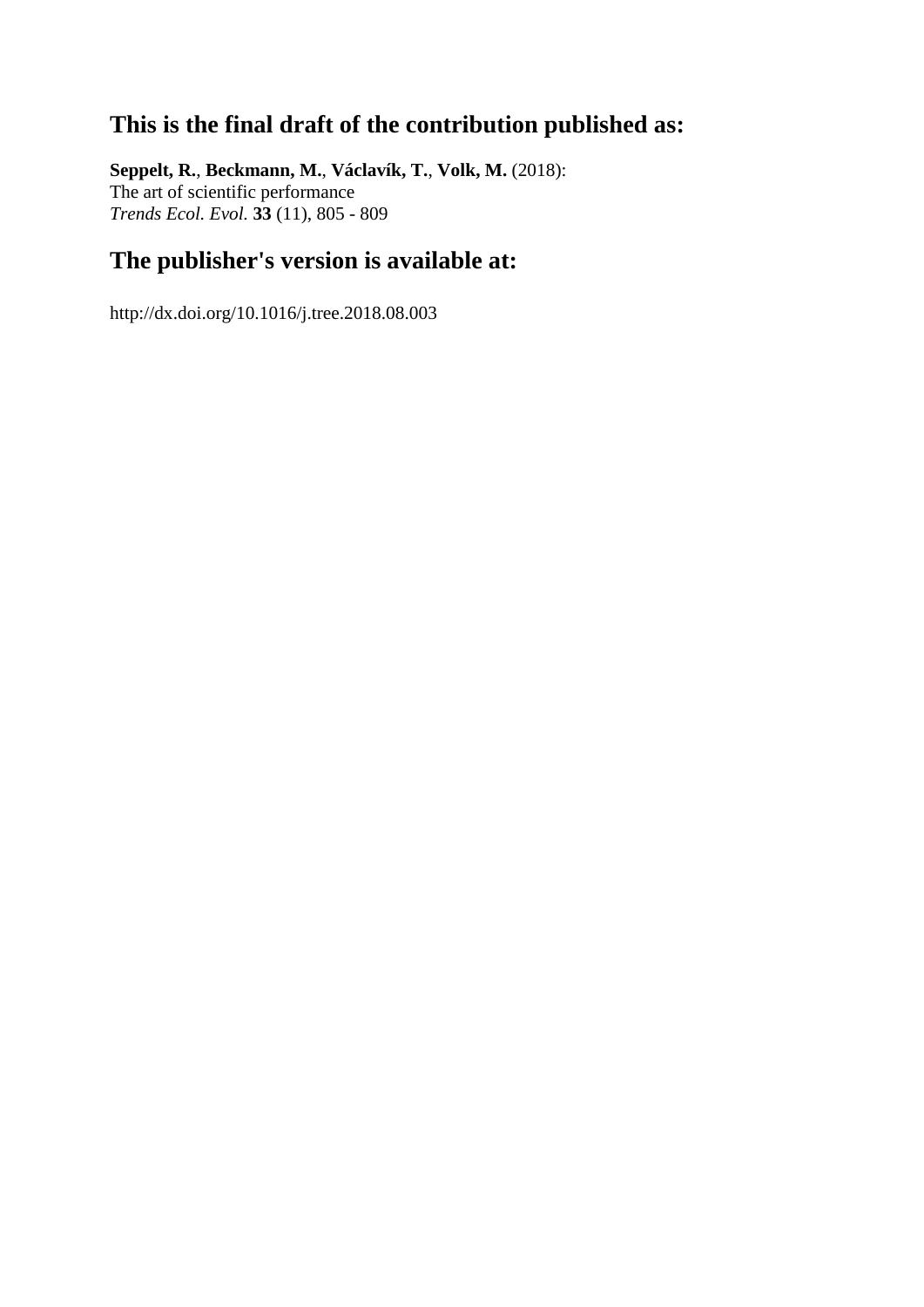## **This is the final draft of the contribution published as:**

**Seppelt, R.**, **Beckmann, M.**, **Václavík, T.**, **Volk, M.** (2018): The art of scientific performance *Trends Ecol. Evol.* **33** (11), 805 - 809

## **The publisher's version is available at:**

http://dx.doi.org/10.1016/j.tree.2018.08.003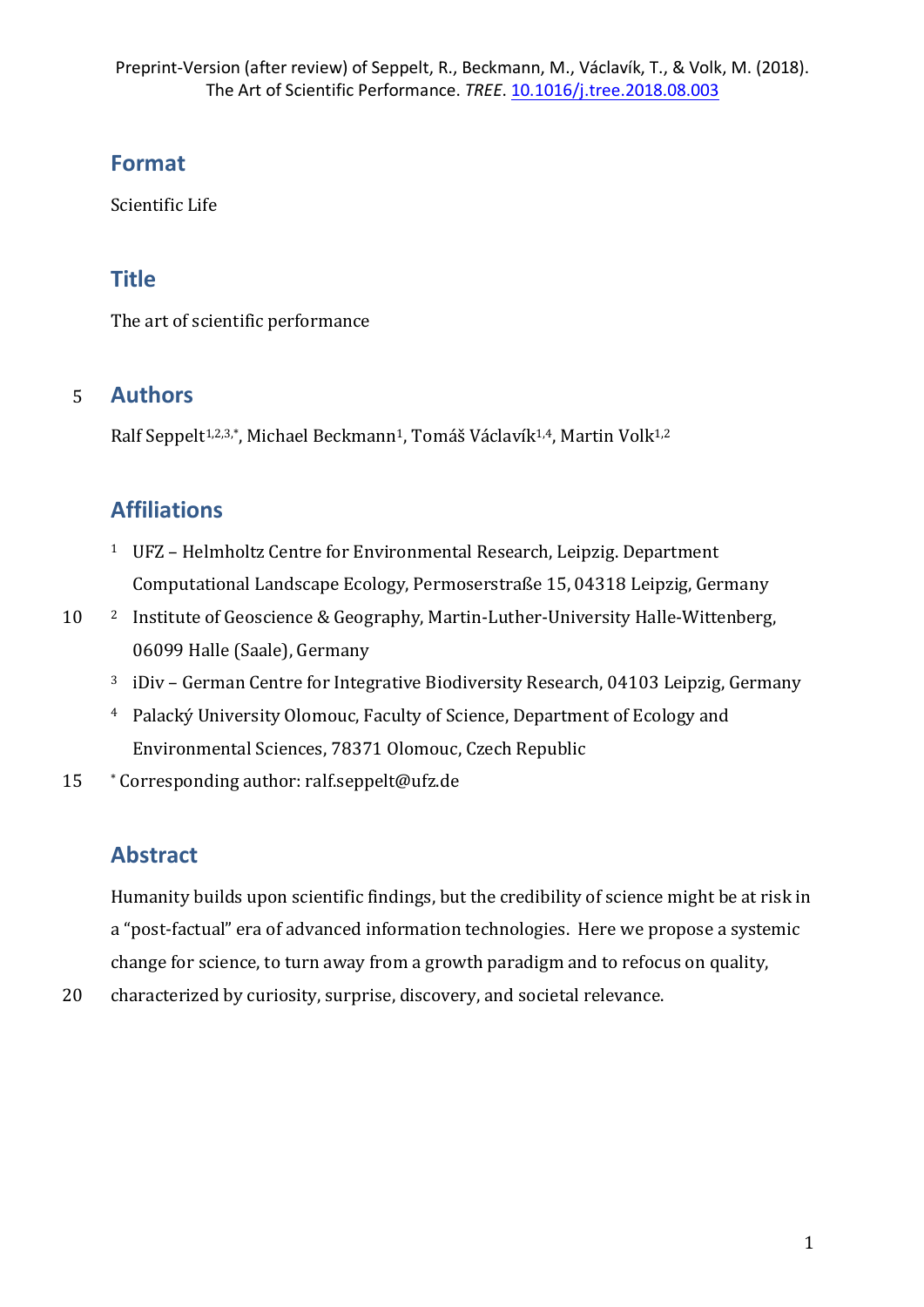# **Format**

Scientific Life

# **Title**

The art of scientific performance

# 5 **Authors**

Ralf Seppelt<sup>1,2,3,\*</sup>, Michael Beckmann<sup>1</sup>, Tomáš Václavík<sup>1,4</sup>, Martin Volk<sup>1,2</sup>

# **Affiliations**

- <sup>1</sup> UFZ Helmholtz Centre for Environmental Research, Leipzig. Department Computational Landscape Ecology, Permoserstraße 15, 04318 Leipzig, Germany
- 10 <sup>2</sup> Institute of Geoscience & Geography, Martin-Luther-University Halle-Wittenberg, 06099 Halle (Saale), Germany
	- $3$  iDiv German Centre for Integrative Biodiversity Research, 04103 Leipzig, Germany
	- <sup>4</sup> Palacký University Olomouc, Faculty of Science, Department of Ecology and Environmental Sciences, 78371 Olomouc, Czech Republic
- 15 \* Corresponding author: ralf.seppelt@ufz.de

# **Abstract**

Humanity builds upon scientific findings, but the credibility of science might be at risk in a "post-factual" era of advanced information technologies. Here we propose a systemic change for science, to turn away from a growth paradigm and to refocus on quality,

20 characterized by curiosity, surprise, discovery, and societal relevance.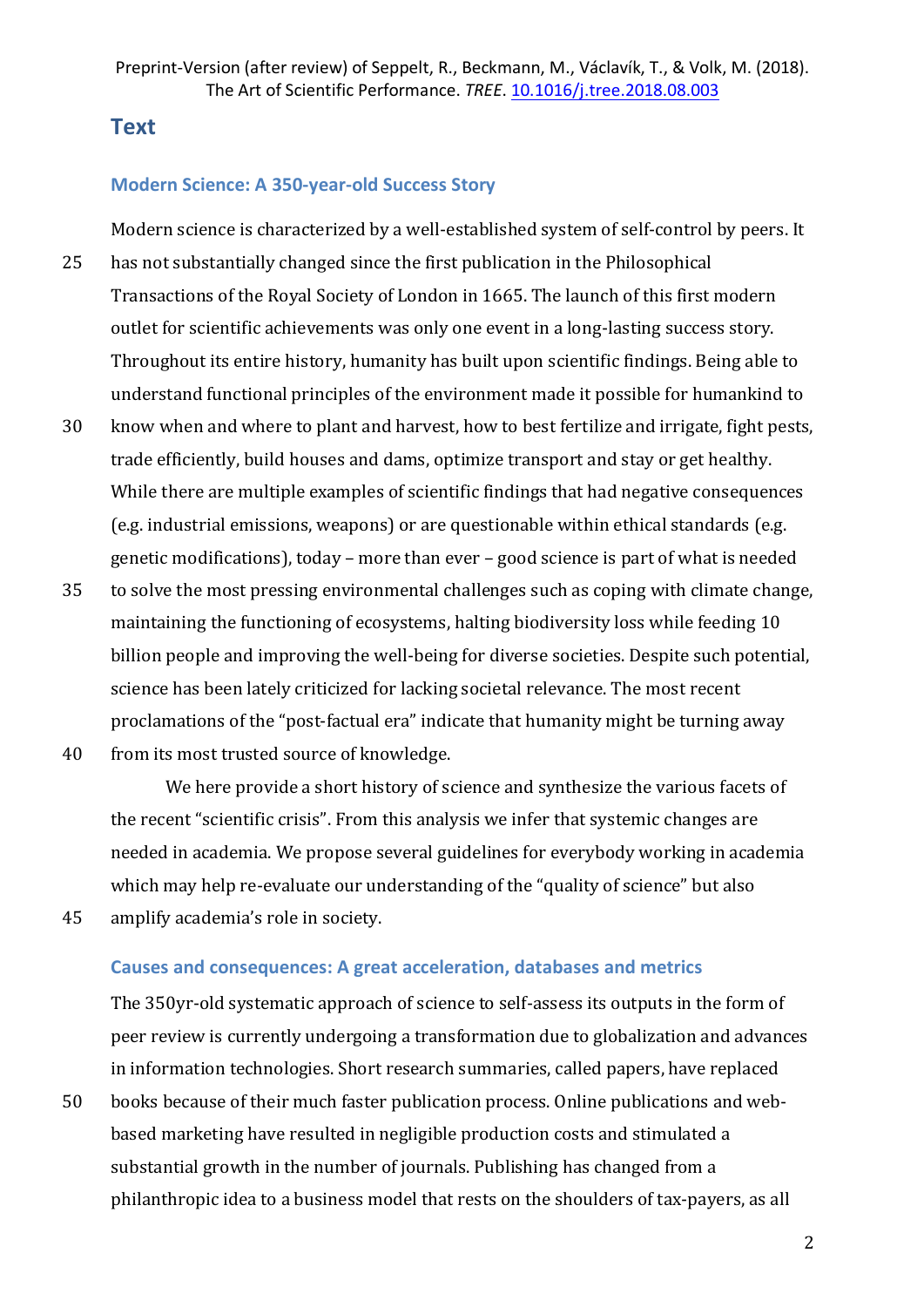## **Text**

### **Modern Science: A 350-year-old Success Story**

Modern science is characterized by a well-established system of self-control by peers. It 25 has not substantially changed since the first publication in the Philosophical Transactions of the Royal Society of London in 1665. The launch of this first modern outlet for scientific achievements was only one event in a long-lasting success story. Throughout its entire history, humanity has built upon scientific findings. Being able to understand functional principles of the environment made it possible for humankind to

- 30 know when and where to plant and harvest, how to best fertilize and irrigate, fight pests, trade efficiently, build houses and dams, optimize transport and stay or get healthy. While there are multiple examples of scientific findings that had negative consequences (e.g. industrial emissions, weapons) or are questionable within ethical standards (e.g. genetic modifications), today – more than ever – good science is part of what is needed
- 35 to solve the most pressing environmental challenges such as coping with climate change, maintaining the functioning of ecosystems, halting biodiversity loss while feeding 10 billion people and improving the well-being for diverse societies. Despite such potential, science has been lately criticized for lacking societal relevance. The most recent proclamations of the "post-factual era" indicate that humanity might be turning away
- 40 from its most trusted source of knowledge.

We here provide a short history of science and synthesize the various facets of the recent "scientific crisis". From this analysis we infer that systemic changes are needed in academia. We propose several guidelines for everybody working in academia which may help re-evaluate our understanding of the "quality of science" but also

45 amplify academia's role in society.

#### **Causes and consequences: A great acceleration, databases and metrics**

The 350yr-old systematic approach of science to self-assess its outputs in the form of peer review is currently undergoing a transformation due to globalization and advances in information technologies. Short research summaries, called papers, have replaced

50 books because of their much faster publication process. Online publications and webbased marketing have resulted in negligible production costs and stimulated a substantial growth in the number of journals. Publishing has changed from a philanthropic idea to a business model that rests on the shoulders of tax-payers, as all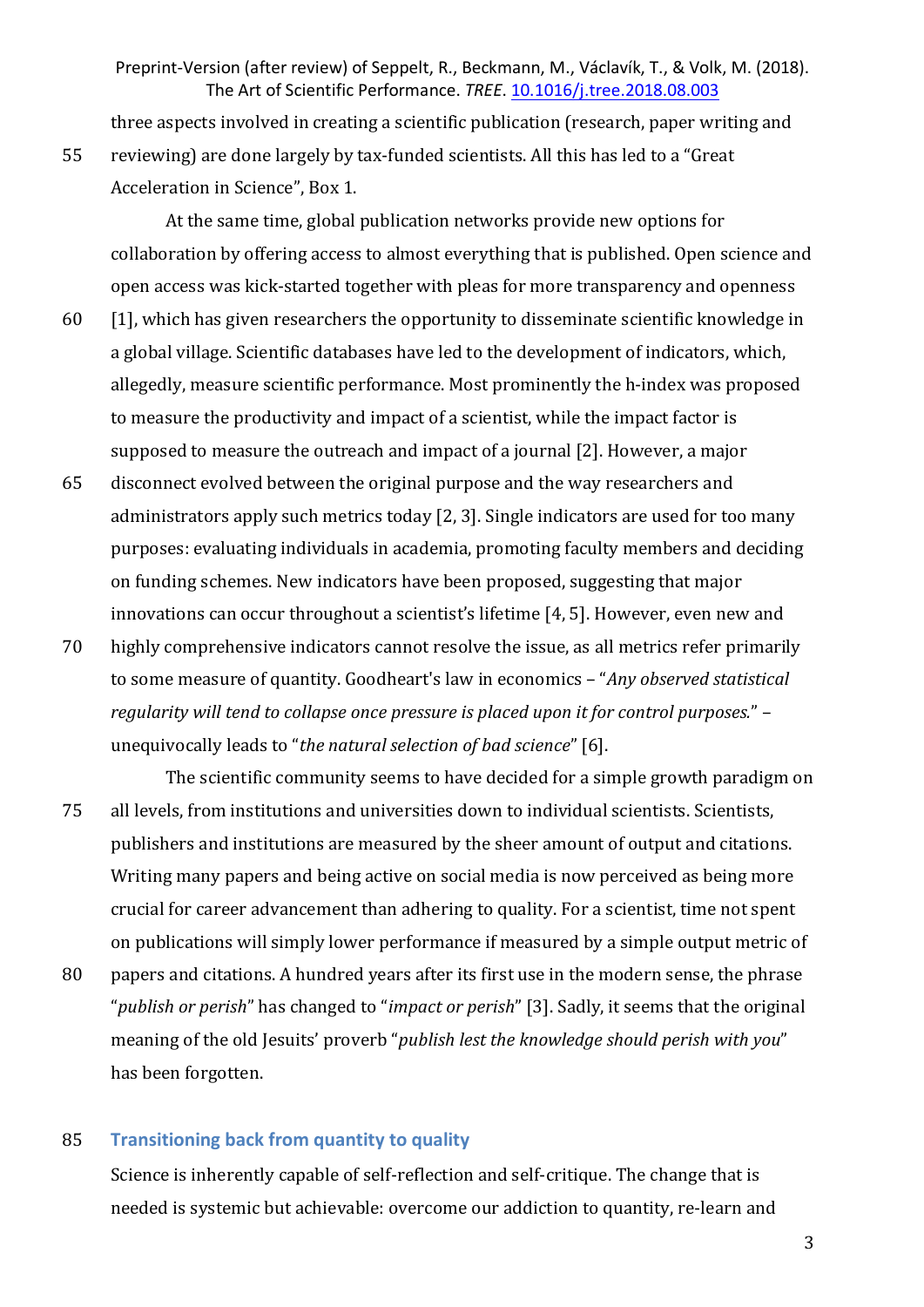three aspects involved in creating a scientific publication (research, paper writing and 55 reviewing) are done largely by tax-funded scientists. All this has led to a "Great Acceleration in Science", Box 1.

At the same time, global publication networks provide new options for collaboration by offering access to almost everything that is published. Open science and open access was kick-started together with pleas for more transparency and openness

- $60$  [1], which has given researchers the opportunity to disseminate scientific knowledge in a global village. Scientific databases have led to the development of indicators, which, allegedly, measure scientific performance. Most prominently the h-index was proposed to measure the productivity and impact of a scientist, while the impact factor is supposed to measure the outreach and impact of a journal [2]. However, a major
- 65 disconnect evolved between the original purpose and the way researchers and administrators apply such metrics today [2, 3]. Single indicators are used for too many purposes: evaluating individuals in academia, promoting faculty members and deciding on funding schemes. New indicators have been proposed, suggesting that major innovations can occur throughout a scientist's lifetime [4, 5]. However, even new and
- 70 highly comprehensive indicators cannot resolve the issue, as all metrics refer primarily to some measure of quantity. Goodheart's law in economics - "*Any observed statistical regularity will tend to collapse once pressure is placed upon it for control purposes.*" – unequivocally leads to "the natural selection of bad science" [6].
- The scientific community seems to have decided for a simple growth paradigm on 75 all levels, from institutions and universities down to individual scientists. Scientists, publishers and institutions are measured by the sheer amount of output and citations. Writing many papers and being active on social media is now perceived as being more crucial for career advancement than adhering to quality. For a scientist, time not spent on publications will simply lower performance if measured by a simple output metric of
- 80 papers and citations. A hundred years after its first use in the modern sense, the phrase "*publish or perish*" has changed to "*impact or perish*" [3]. Sadly, it seems that the original meaning of the old Jesuits' proverb "*publish lest the knowledge should perish with you*" has been forgotten.

#### 85 **Transitioning back from quantity to quality**

Science is inherently capable of self-reflection and self-critique. The change that is needed is systemic but achievable: overcome our addiction to quantity, re-learn and

3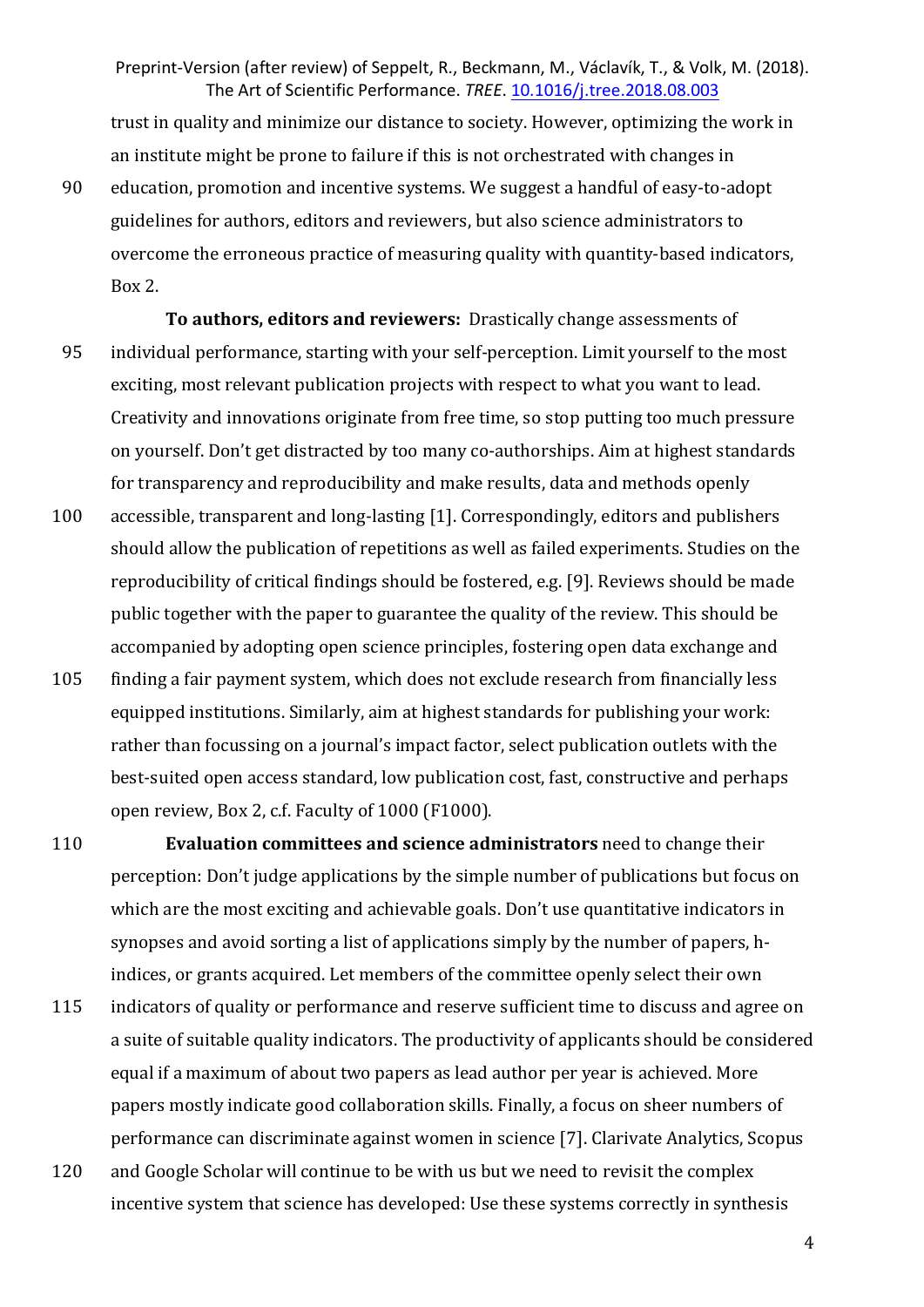trust in quality and minimize our distance to society. However, optimizing the work in an institute might be prone to failure if this is not orchestrated with changes in

- 90 education, promotion and incentive systems. We suggest a handful of easy-to-adopt guidelines for authors, editors and reviewers, but also science administrators to overcome the erroneous practice of measuring quality with quantity-based indicators,  $Box 2.$
- **To authors, editors and reviewers:** Drastically change assessments of 95 individual performance, starting with your self-perception. Limit yourself to the most exciting, most relevant publication projects with respect to what you want to lead. Creativity and innovations originate from free time, so stop putting too much pressure on vourself. Don't get distracted by too many co-authorships. Aim at highest standards for transparency and reproducibility and make results, data and methods openly
- 100 accessible, transparent and long-lasting [1]. Correspondingly, editors and publishers should allow the publication of repetitions as well as failed experiments. Studies on the reproducibility of critical findings should be fostered, e.g. [9]. Reviews should be made public together with the paper to guarantee the quality of the review. This should be accompanied by adopting open science principles, fostering open data exchange and
- 105 finding a fair payment system, which does not exclude research from financially less equipped institutions. Similarly, aim at highest standards for publishing your work: rather than focussing on a journal's impact factor, select publication outlets with the best-suited open access standard, low publication cost, fast, constructive and perhaps open review, Box 2, c.f. Faculty of 1000 (F1000).
- 110 **Evaluation committees and science administrators** need to change their perception: Don't judge applications by the simple number of publications but focus on which are the most exciting and achievable goals. Don't use quantitative indicators in synopses and avoid sorting a list of applications simply by the number of papers, hindices, or grants acquired. Let members of the committee openly select their own
- 115 indicators of quality or performance and reserve sufficient time to discuss and agree on a suite of suitable quality indicators. The productivity of applicants should be considered equal if a maximum of about two papers as lead author per year is achieved. More papers mostly indicate good collaboration skills. Finally, a focus on sheer numbers of performance can discriminate against women in science [7]. Clarivate Analytics, Scopus
- 120 and Google Scholar will continue to be with us but we need to revisit the complex incentive system that science has developed: Use these systems correctly in synthesis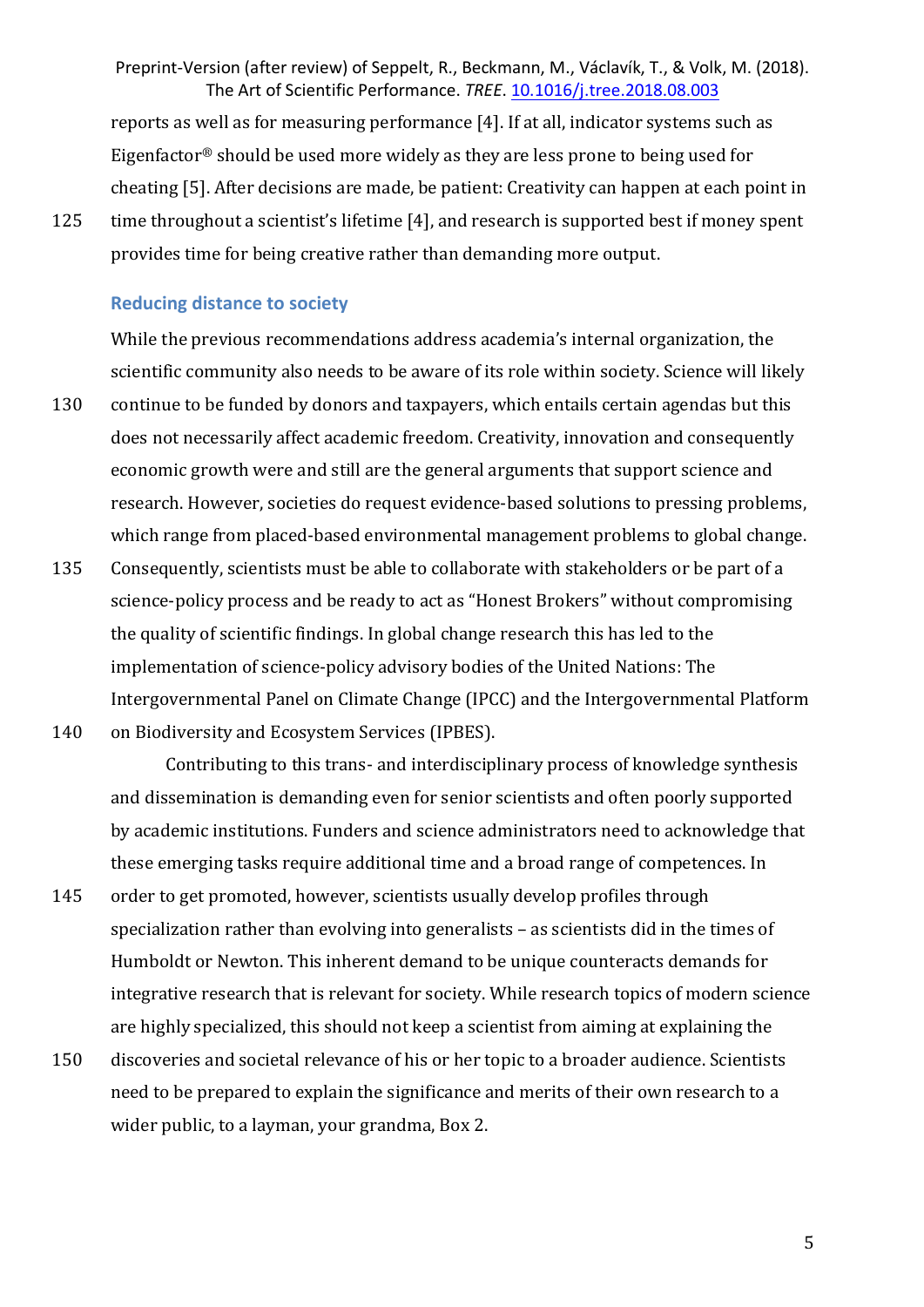reports as well as for measuring performance  $[4]$ . If at all, indicator systems such as Eigenfactor® should be used more widely as they are less prone to being used for cheating [5]. After decisions are made, be patient: Creativity can happen at each point in

125 time throughout a scientist's lifetime [4], and research is supported best if money spent provides time for being creative rather than demanding more output.

#### **Reducing distance to society**

While the previous recommendations address academia's internal organization, the scientific community also needs to be aware of its role within society. Science will likely

- 130 continue to be funded by donors and taxpayers, which entails certain agendas but this does not necessarily affect academic freedom. Creativity, innovation and consequently economic growth were and still are the general arguments that support science and research. However, societies do request evidence-based solutions to pressing problems, which range from placed-based environmental management problems to global change.
- 135 Consequently, scientists must be able to collaborate with stakeholders or be part of a science-policy process and be ready to act as "Honest Brokers" without compromising the quality of scientific findings. In global change research this has led to the implementation of science-policy advisory bodies of the United Nations: The Intergovernmental Panel on Climate Change (IPCC) and the Intergovernmental Platform
- 140 on Biodiversity and Ecosystem Services (IPBES).

Contributing to this trans- and interdisciplinary process of knowledge synthesis and dissemination is demanding even for senior scientists and often poorly supported by academic institutions. Funders and science administrators need to acknowledge that these emerging tasks require additional time and a broad range of competences. In

- 145 order to get promoted, however, scientists usually develop profiles through specialization rather than evolving into generalists  $-$  as scientists did in the times of Humboldt or Newton. This inherent demand to be unique counteracts demands for integrative research that is relevant for society. While research topics of modern science are highly specialized, this should not keep a scientist from aiming at explaining the
- 150 discoveries and societal relevance of his or her topic to a broader audience. Scientists need to be prepared to explain the significance and merits of their own research to a wider public, to a layman, your grandma, Box 2.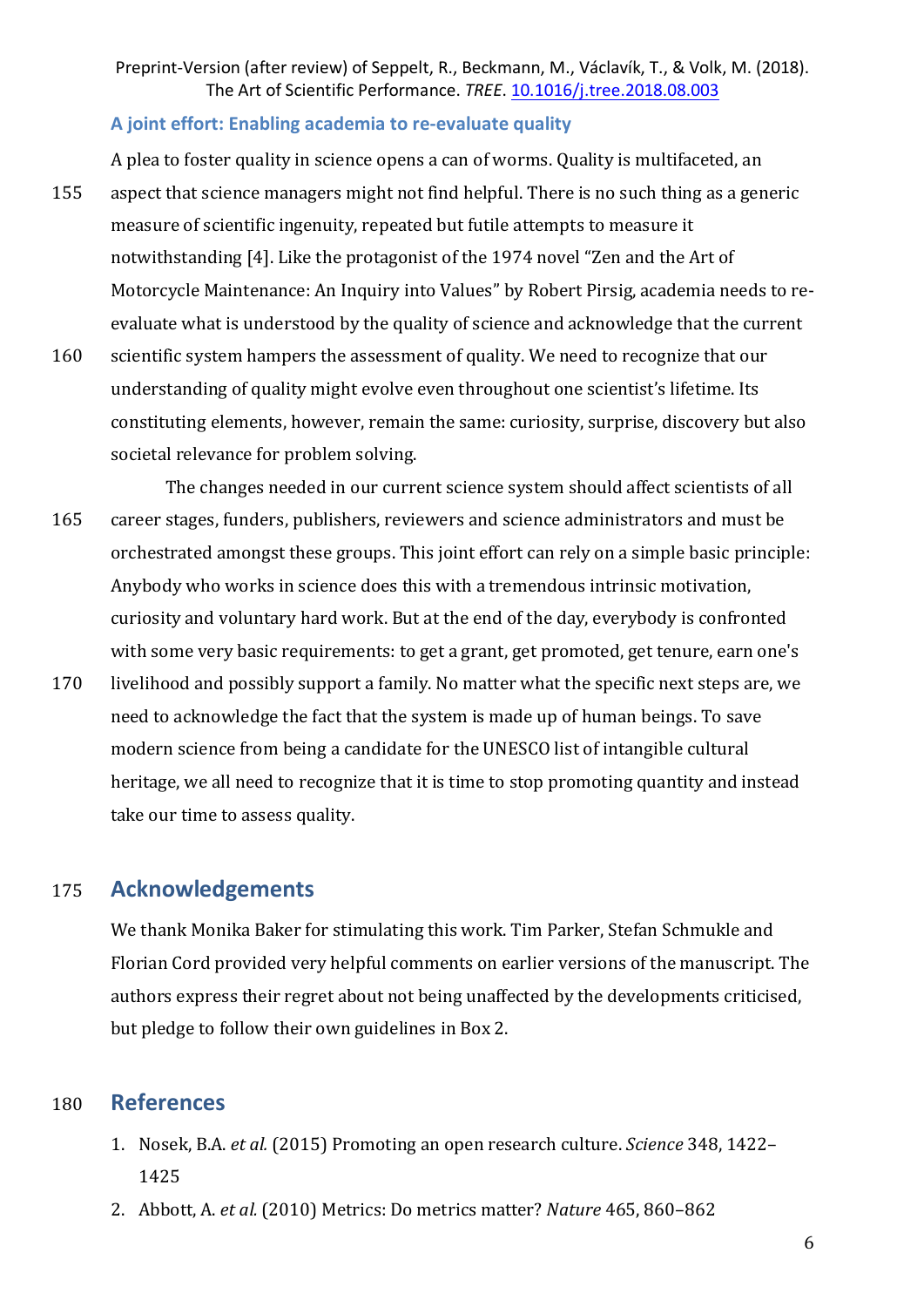#### **A joint effort: Enabling academia to re-evaluate quality**

A plea to foster quality in science opens a can of worms. Quality is multifaceted, an 155 aspect that science managers might not find helpful. There is no such thing as a generic measure of scientific ingenuity, repeated but futile attempts to measure it notwithstanding [4]. Like the protagonist of the 1974 novel "Zen and the Art of Motorcycle Maintenance: An Inquiry into Values" by Robert Pirsig, academia needs to reevaluate what is understood by the quality of science and acknowledge that the current

- 160 scientific system hampers the assessment of quality. We need to recognize that our understanding of quality might evolve even throughout one scientist's lifetime. Its constituting elements, however, remain the same: curiosity, surprise, discovery but also societal relevance for problem solving.
- The changes needed in our current science system should affect scientists of all 165 career stages, funders, publishers, reviewers and science administrators and must be orchestrated amongst these groups. This joint effort can rely on a simple basic principle: Anybody who works in science does this with a tremendous intrinsic motivation, curiosity and voluntary hard work. But at the end of the day, everybody is confronted with some very basic requirements: to get a grant, get promoted, get tenure, earn one's
- 170 livelihood and possibly support a family. No matter what the specific next steps are, we need to acknowledge the fact that the system is made up of human beings. To save modern science from being a candidate for the UNESCO list of intangible cultural heritage, we all need to recognize that it is time to stop promoting quantity and instead take our time to assess quality.

## 175 **Acknowledgements**

We thank Monika Baker for stimulating this work. Tim Parker, Stefan Schmukle and Florian Cord provided very helpful comments on earlier versions of the manuscript. The authors express their regret about not being unaffected by the developments criticised, but pledge to follow their own guidelines in Box 2.

## 180 **References**

- 1. Nosek, B.A. *et al.* (2015) Promoting an open research culture. *Science* 348, 1422– 1425
- 2. Abbott, A. *et al.* (2010) Metrics: Do metrics matter? *Nature* 465, 860-862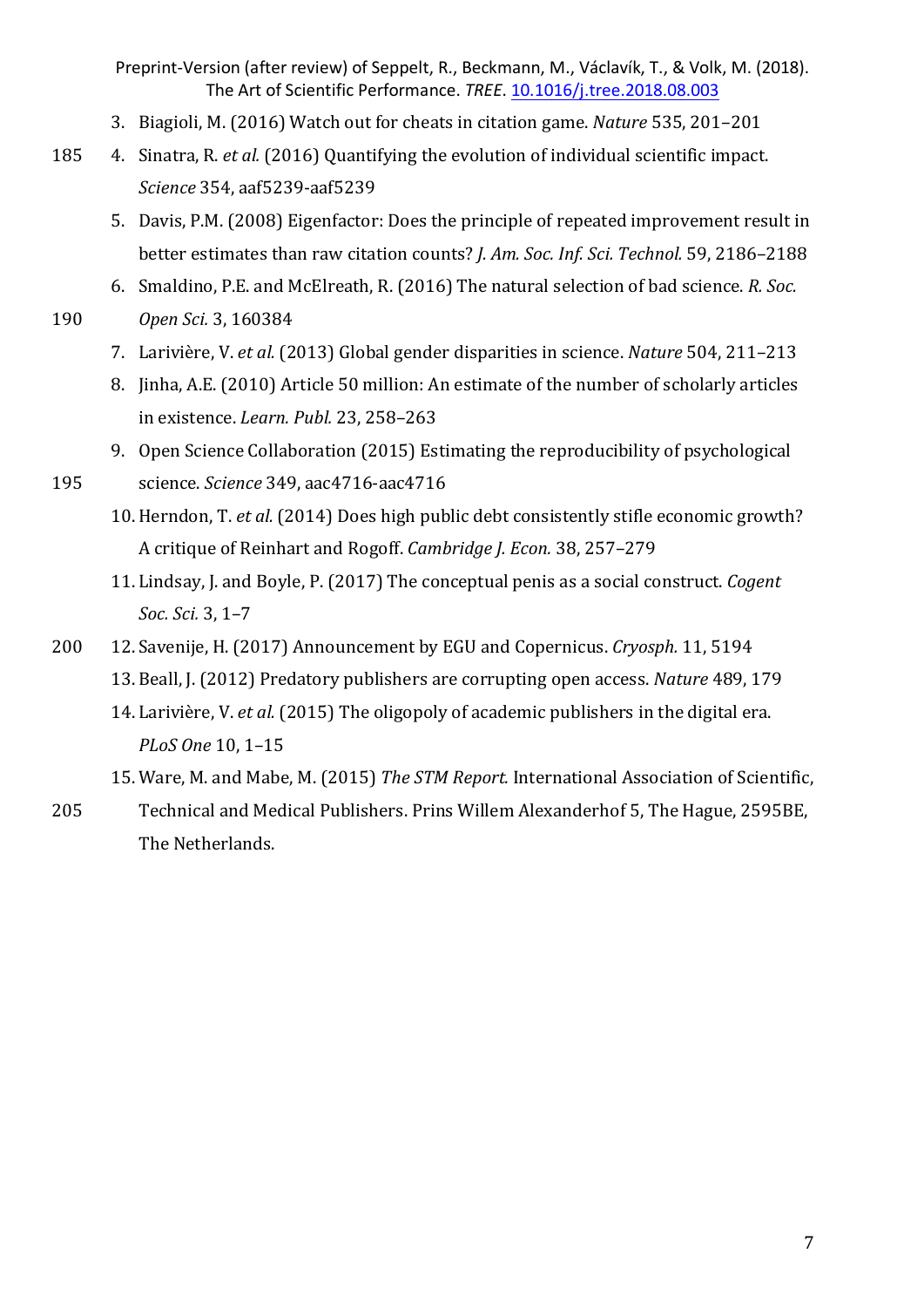- 3. Biagioli, M. (2016) Watch out for cheats in citation game. *Nature* 535, 201-201
- 185 4. Sinatra, R. *et al.* (2016) Quantifying the evolution of individual scientific impact. *Science* 354, aaf5239-aaf5239
	- 5. Davis, P.M. (2008) Eigenfactor: Does the principle of repeated improvement result in better estimates than raw citation counts? *J. Am. Soc. Inf. Sci. Technol.* 59, 2186–2188
	- 6. Smaldino, P.E. and McElreath, R. (2016) The natural selection of bad science. *R. Soc.*
- 190 *Open Sci.* 3, 160384
	- 7. Larivière, V. *et al.* (2013) Global gender disparities in science. *Nature* 504, 211–213
	- 8. Jinha, A.E. (2010) Article 50 million: An estimate of the number of scholarly articles in existence. *Learn. Publ.* 23, 258-263
	- 9. Open Science Collaboration (2015) Estimating the reproducibility of psychological
- 195 science. *Science* 349, aac4716-aac4716
	- 10. Herndon, T. et al. (2014) Does high public debt consistently stifle economic growth? A critique of Reinhart and Rogoff. *Cambridge J. Econ.* 38, 257-279
	- 11. Lindsay, J. and Boyle, P. (2017) The conceptual penis as a social construct. *Cogent Soc. Sci.* 3, 1–7
- 200 12. Savenije, H. (2017) Announcement by EGU and Copernicus. *Cryosph.* 11, 5194 13. Beall, J. (2012) Predatory publishers are corrupting open access. *Nature* 489, 179
	- 14. Larivière, *V. et al.* (2015) The oligopoly of academic publishers in the digital era. *PLoS One* 10, 1–15
	- 15. Ware, M. and Mabe, M. (2015) *The STM Report.* International Association of Scientific,
- 205 Technical and Medical Publishers. Prins Willem Alexanderhof 5, The Hague, 2595BE, The Netherlands.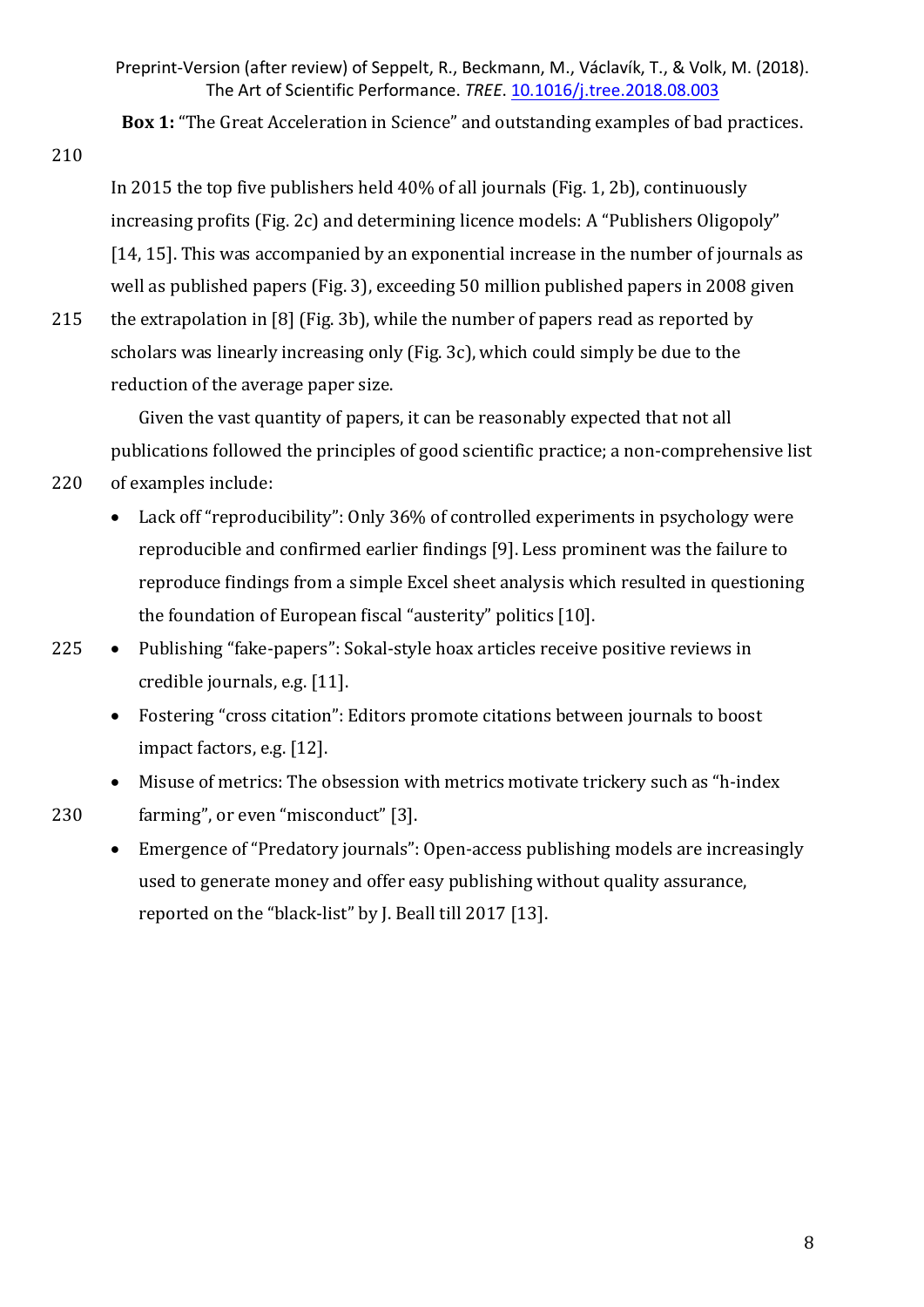**Box 1:** "The Great Acceleration in Science" and outstanding examples of bad practices.

210

In 2015 the top five publishers held  $40\%$  of all journals (Fig. 1, 2b), continuously  $increasing$  profits (Fig. 2c) and determining licence models: A "Publishers Oligopoly" [14, 15]. This was accompanied by an exponential increase in the number of journals as well as published papers (Fig. 3), exceeding 50 million published papers in 2008 given

215 the extrapolation in [8] (Fig. 3b), while the number of papers read as reported by scholars was linearly increasing only (Fig. 3c), which could simply be due to the reduction of the average paper size.

Given the vast quantity of papers, it can be reasonably expected that not all publications followed the principles of good scientific practice; a non-comprehensive list 220 of examples include:

- Lack off "reproducibility": Only 36% of controlled experiments in psychology were reproducible and confirmed earlier findings [9]. Less prominent was the failure to reproduce findings from a simple Excel sheet analysis which resulted in questioning the foundation of European fiscal "austerity" politics  $[10]$ .
- $225$  Publishing "fake-papers": Sokal-style hoax articles receive positive reviews in credible journals, e.g. [11].
	- Fostering "cross citation": Editors promote citations between journals to boost impact factors, e.g. [12].
- Misuse of metrics: The obsession with metrics motivate trickery such as "h-index" 230 farming", or even "misconduct" [3].
	- Emergence of "Predatory journals": Open-access publishing models are increasingly used to generate money and offer easy publishing without quality assurance, reported on the "black-list" by J. Beall till 2017 [13].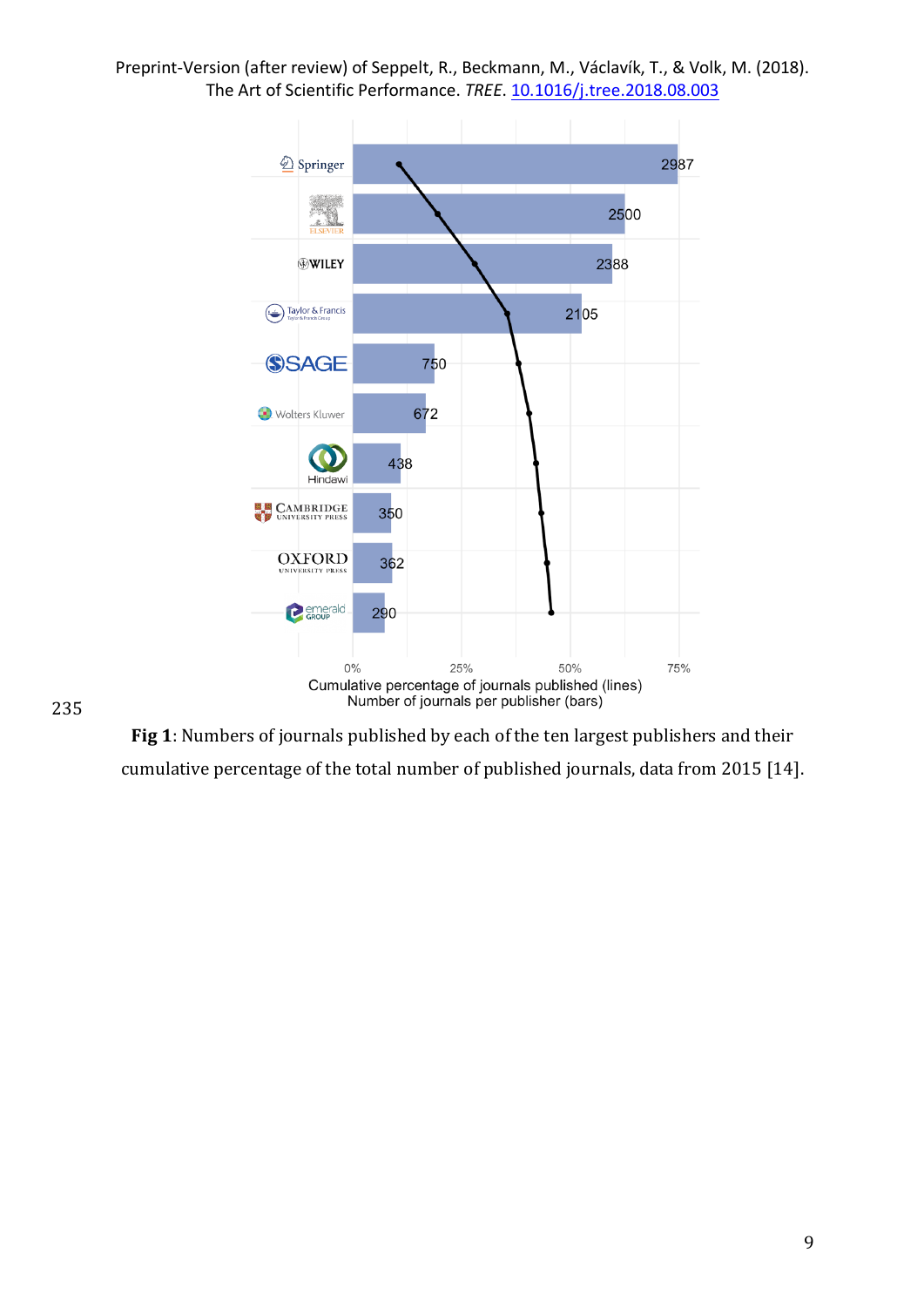

235

Fig 1: Numbers of journals published by each of the ten largest publishers and their cumulative percentage of the total number of published journals, data from 2015 [14].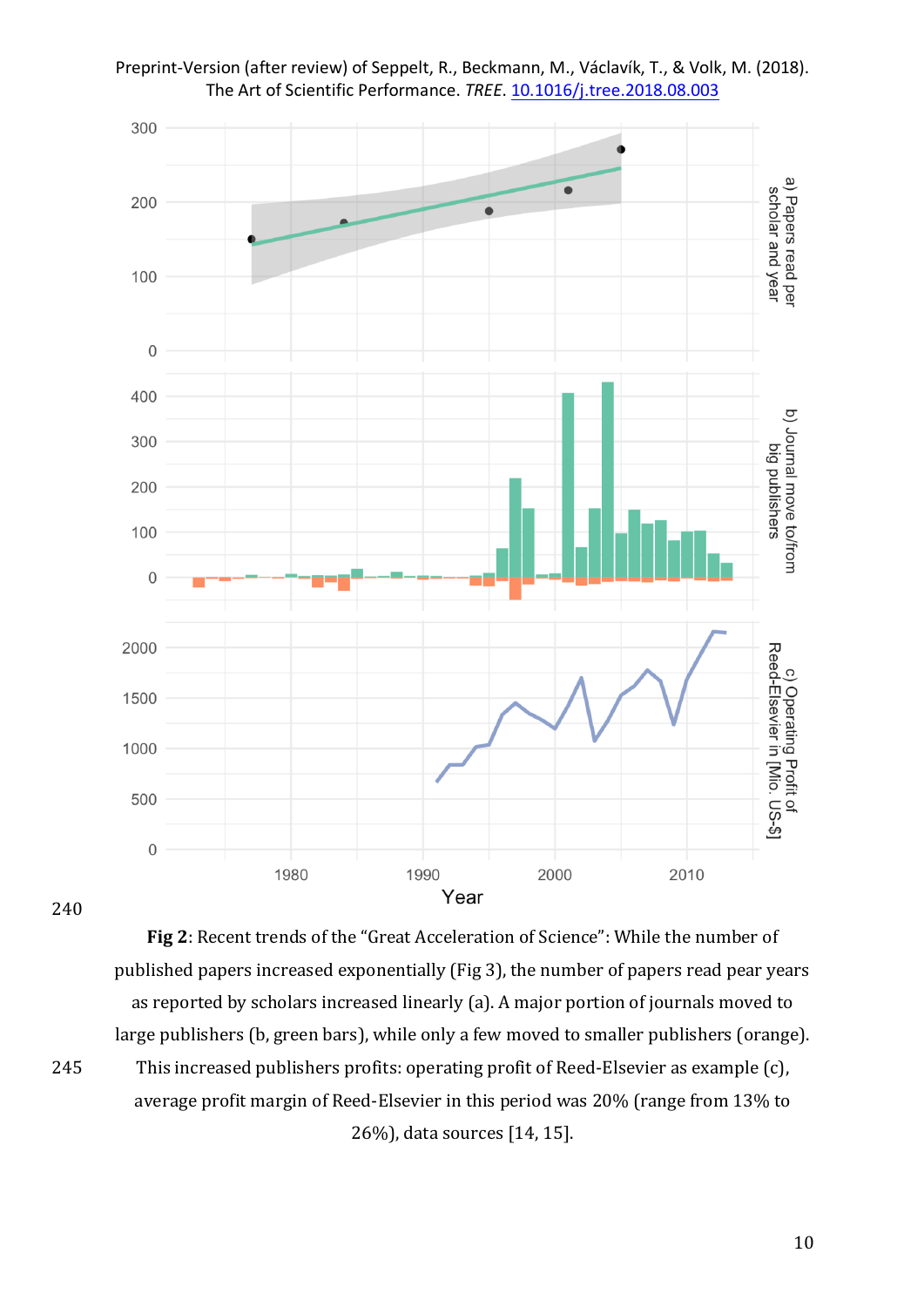

Preprint-Version (after review) of Seppelt, R., Beckmann, M., Václavík, T., & Volk, M. (2018). The Art of Scientific Performance. *TREE*. 10.1016/j.tree.2018.08.003

240

Fig 2: Recent trends of the "Great Acceleration of Science": While the number of published papers increased exponentially (Fig 3), the number of papers read pear years as reported by scholars increased linearly (a). A major portion of journals moved to large publishers (b, green bars), while only a few moved to smaller publishers (orange). 245 This increased publishers profits: operating profit of Reed-Elsevier as example (c), average profit margin of Reed-Elsevier in this period was 20% (range from 13% to 26%), data sources [14, 15].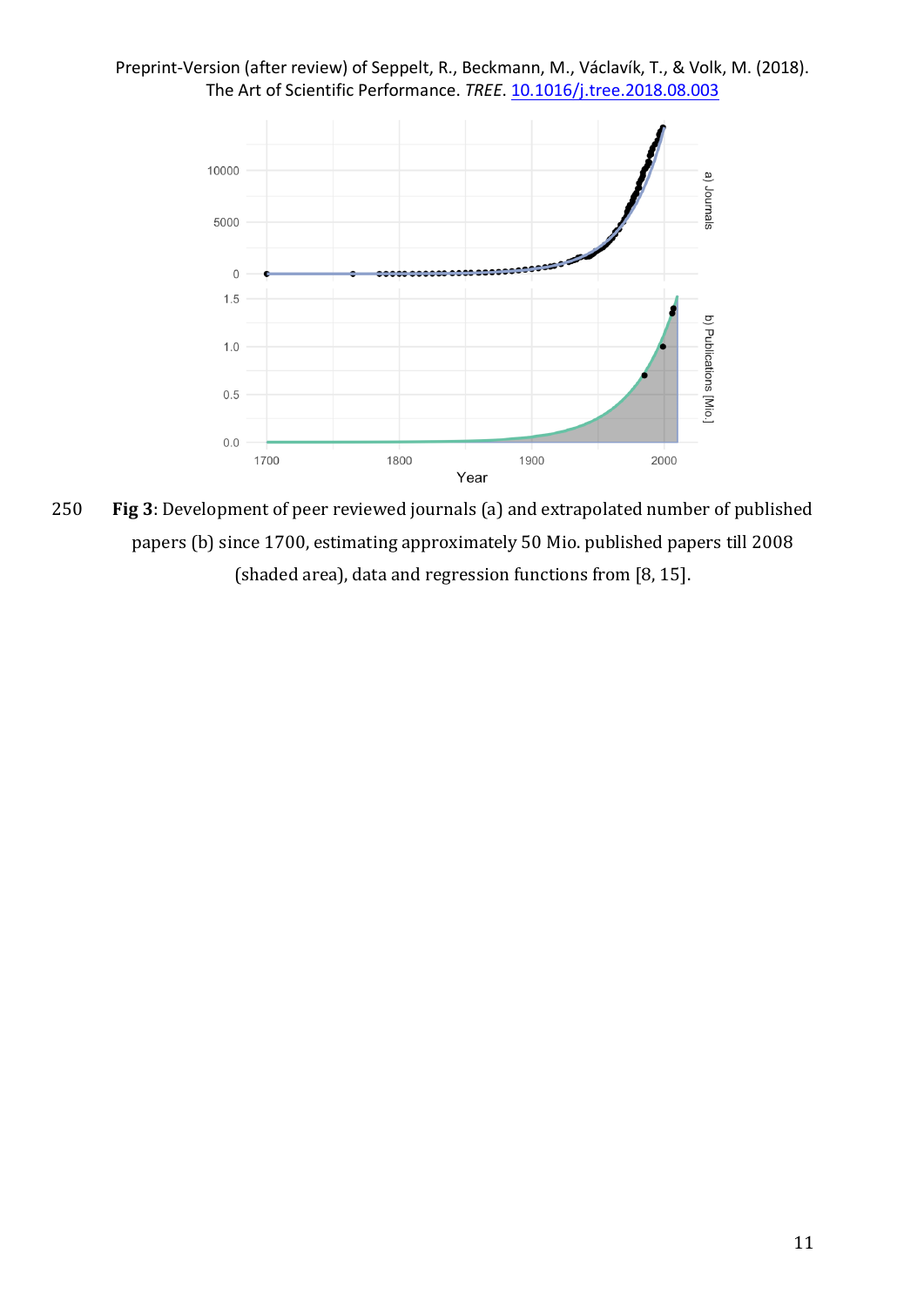



250 **Fig 3**: Development of peer reviewed journals (a) and extrapolated number of published papers (b) since 1700, estimating approximately 50 Mio. published papers till 2008 (shaded area), data and regression functions from  $[8, 15]$ .